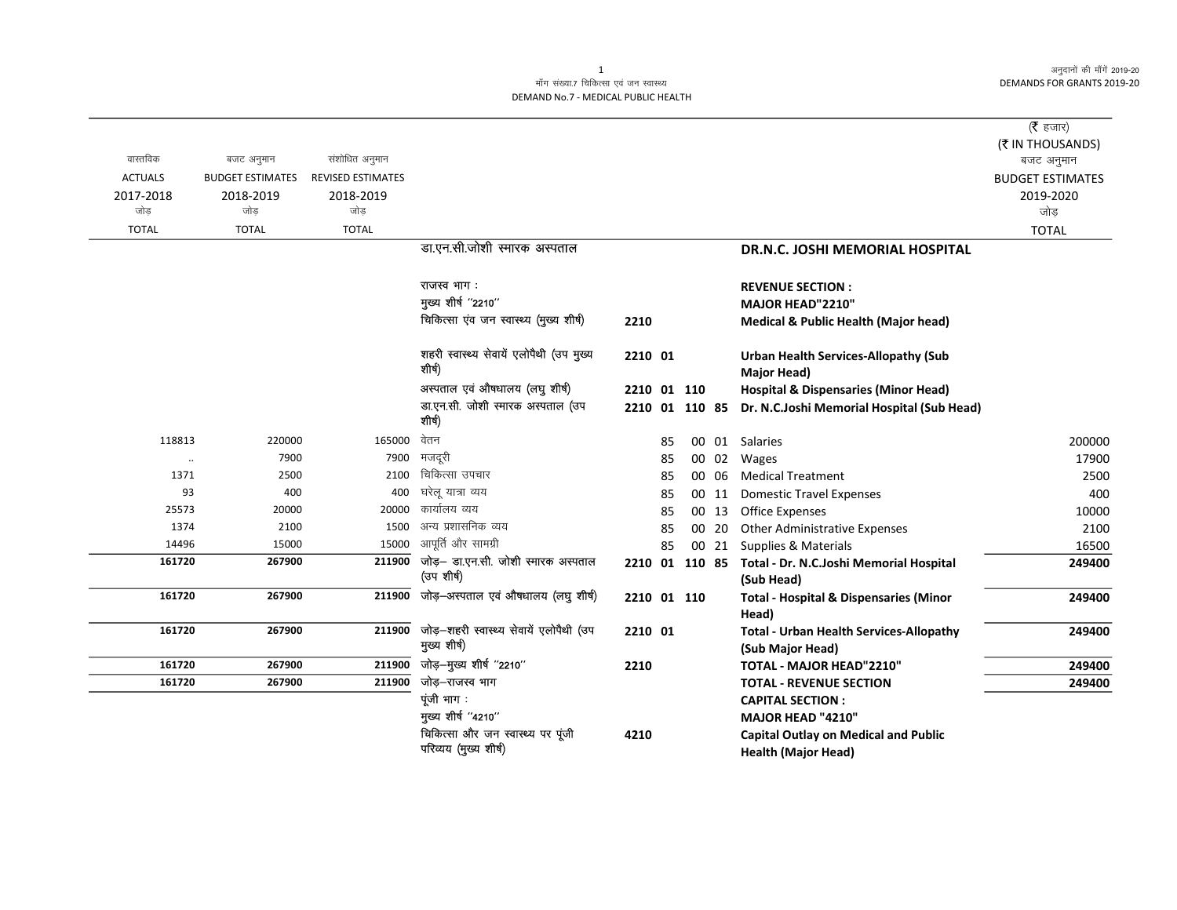अनुदानों की माँगें 2019-20 **DEMANDS FOR GRANTS 2019-20** 

## माँग संख्या.7 चिकित्सा एवं जन स्वास्थ्य DEMAND No.7 - MEDICAL PUBLIC HEALTH

|                |                         |                          |                                                         |                |    |       |                                                                      | ( $\bar{\tau}$ हजार)    |
|----------------|-------------------------|--------------------------|---------------------------------------------------------|----------------|----|-------|----------------------------------------------------------------------|-------------------------|
|                |                         |                          |                                                         |                |    |       |                                                                      | (₹ IN THOUSANDS)        |
| वास्तविक       | बजट अनुमान              | संशोधित अनुमान           |                                                         |                |    |       |                                                                      | बजट अनुमान              |
| <b>ACTUALS</b> | <b>BUDGET ESTIMATES</b> | <b>REVISED ESTIMATES</b> |                                                         |                |    |       |                                                                      | <b>BUDGET ESTIMATES</b> |
| 2017-2018      | 2018-2019               | 2018-2019                |                                                         |                |    |       |                                                                      | 2019-2020               |
| जोड            | जोड                     | जोड                      |                                                         |                |    |       |                                                                      | जोड                     |
| <b>TOTAL</b>   | <b>TOTAL</b>            | <b>TOTAL</b>             |                                                         |                |    |       |                                                                      | <b>TOTAL</b>            |
|                |                         |                          | डा.एन.सी.जोशी स्मारक अस्पताल                            |                |    |       | DR.N.C. JOSHI MEMORIAL HOSPITAL                                      |                         |
|                |                         |                          | राजस्व भाग :                                            |                |    |       | <b>REVENUE SECTION:</b>                                              |                         |
|                |                         |                          | मुख्य शीर्ष "2210"                                      |                |    |       | MAJOR HEAD"2210"                                                     |                         |
|                |                         |                          | चिकित्सा एंव जन स्वास्थ्य (मुख्य शीर्ष)                 | 2210           |    |       | <b>Medical &amp; Public Health (Major head)</b>                      |                         |
|                |                         |                          | शहरी स्वास्थ्य सेवायें एलोपैथी (उप मुख्य<br>शीर्ष)      | 2210 01        |    |       | <b>Urban Health Services-Allopathy (Sub</b>                          |                         |
|                |                         |                          |                                                         |                |    |       | <b>Major Head)</b>                                                   |                         |
|                |                         |                          | अस्पताल एवं औषधालय (लघु शीर्ष)                          | 2210 01 110    |    |       | <b>Hospital &amp; Dispensaries (Minor Head)</b>                      |                         |
|                |                         |                          | डा.एन.सी. जोशी स्मारक अस्पताल (उप<br>शीर्ष)             | 2210 01 110 85 |    |       | Dr. N.C.Joshi Memorial Hospital (Sub Head)                           |                         |
| 118813         | 220000                  | 165000                   | वेतन                                                    |                | 85 |       | 00 01 Salaries                                                       | 200000                  |
| $\cdots$       | 7900                    | 7900                     | मजदूरी                                                  |                | 85 |       | 00 02 Wages                                                          | 17900                   |
| 1371           | 2500                    | 2100                     | चिकित्सा उपचार                                          |                | 85 | 00 06 | <b>Medical Treatment</b>                                             | 2500                    |
| 93             | 400                     | 400                      | घरेलू यात्रा व्यय                                       |                | 85 | 00 11 | <b>Domestic Travel Expenses</b>                                      | 400                     |
| 25573          | 20000                   | 20000                    | कार्यालय व्यय                                           |                | 85 | 00 13 | Office Expenses                                                      | 10000                   |
| 1374           | 2100                    | 1500                     | अन्य प्रशासनिक व्यय                                     |                | 85 | 00 20 | <b>Other Administrative Expenses</b>                                 | 2100                    |
| 14496          | 15000                   | 15000                    | आपूर्ति और सामग्री                                      |                | 85 |       | 00 21 Supplies & Materials                                           | 16500                   |
| 161720         | 267900                  | 211900                   | जोड़– डा.एन.सी. जोशी स्मारक अस्पताल<br>(उप शीर्ष)       |                |    |       | 2210 01 110 85 Total - Dr. N.C.Joshi Memorial Hospital<br>(Sub Head) | 249400                  |
| 161720         | 267900                  | 211900                   | जोड़—अस्पताल एवं औषधालय (लघु शीर्ष)                     | 2210 01 110    |    |       | <b>Total - Hospital &amp; Dispensaries (Minor</b><br>Head)           | 249400                  |
| 161720         | 267900                  | 211900                   | जोड़-शहरी स्वास्थ्य सेवायें एलोपैथी (उप<br>मुख्य शीर्ष) | 2210 01        |    |       | <b>Total - Urban Health Services-Allopathy</b><br>(Sub Major Head)   | 249400                  |
| 161720         | 267900                  | 211900                   | जोड़–मुख्य शीर्ष "2210"                                 | 2210           |    |       | TOTAL - MAJOR HEAD"2210"                                             | 249400                  |
| 161720         | 267900                  | 211900                   | जोड़–राजस्व भाग                                         |                |    |       | <b>TOTAL - REVENUE SECTION</b>                                       | 249400                  |
|                |                         |                          | पूंजी भाग:                                              |                |    |       | <b>CAPITAL SECTION:</b>                                              |                         |
|                |                         |                          | मुख्य शीर्ष "4210"                                      |                |    |       | MAJOR HEAD "4210"                                                    |                         |
|                |                         |                          | चिकित्सा और जन स्वास्थ्य पर पूंजी                       | 4210           |    |       | <b>Capital Outlay on Medical and Public</b>                          |                         |
|                |                         |                          | परिव्यय (मुख्य शीर्ष)                                   |                |    |       | <b>Health (Major Head)</b>                                           |                         |